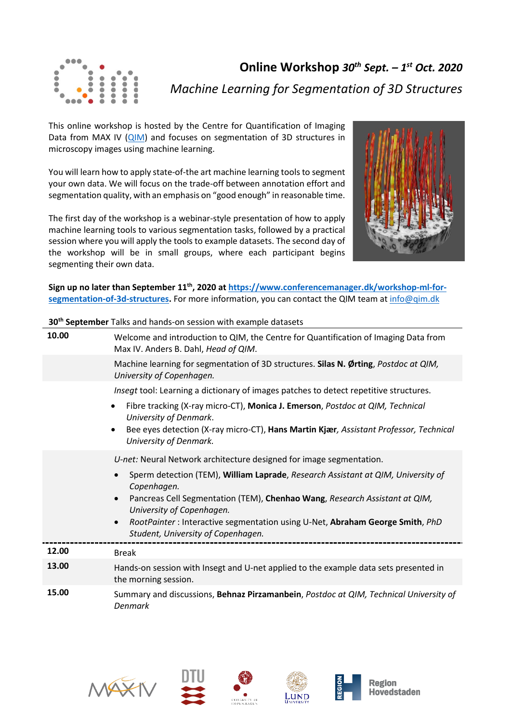

**Online Workshop** *30th Sept. – 1st Oct. 2020 Machine Learning for Segmentation of 3D Structures*

This online workshop is hosted by the Centre for Quantification of Imaging Data from MAX IV [\(QIM\)](http://qim.dk/) and focuses on segmentation of 3D structures in microscopy images using machine learning.

You will learn how to apply state-of-the art machine learning tools to segment your own data. We will focus on the trade-off between annotation effort and segmentation quality, with an emphasis on "good enough" in reasonable time.

The first day of the workshop is a webinar-style presentation of how to apply machine learning tools to various segmentation tasks, followed by a practical session where you will apply the tools to example datasets. The second day of the workshop will be in small groups, where each participant begins segmenting their own data.



**Sign up no later than September 11th, 2020 at [https://www.conferencemanager.dk/workshop-ml-for](https://www.conferencemanager.dk/workshop-ml-for-segmentation-of-3d-structures)[segmentation-of-3d-structures.](https://www.conferencemanager.dk/workshop-ml-for-segmentation-of-3d-structures)** For more information, you can contact the QIM team at [info@qim.dk](mailto:info@qim.dk)

**30th September** Talks and hands-on session with example datasets

| 10.00 | Welcome and introduction to QIM, the Centre for Quantification of Imaging Data from<br>Max IV. Anders B. Dahl, Head of QIM.  |
|-------|------------------------------------------------------------------------------------------------------------------------------|
|       | Machine learning for segmentation of 3D structures. Silas N. Ørting, Postdoc at QIM,<br>University of Copenhagen.            |
|       | Insegt tool: Learning a dictionary of images patches to detect repetitive structures.                                        |
|       | Fibre tracking (X-ray micro-CT), Monica J. Emerson, Postdoc at QIM, Technical<br>$\bullet$<br>University of Denmark.         |
|       | Bee eyes detection (X-ray micro-CT), Hans Martin Kjær, Assistant Professor, Technical<br>$\bullet$<br>University of Denmark. |
|       | U-net: Neural Network architecture designed for image segmentation.                                                          |
|       | Sperm detection (TEM), William Laprade, Research Assistant at QIM, University of<br>Copenhagen.                              |
|       | Pancreas Cell Segmentation (TEM), Chenhao Wang, Research Assistant at QIM,<br>University of Copenhagen.                      |
|       | RootPainter: Interactive segmentation using U-Net, Abraham George Smith, PhD<br>Student, University of Copenhagen.           |
| 12.00 | <b>Break</b>                                                                                                                 |
| 13.00 | Hands-on session with Insegt and U-net applied to the example data sets presented in<br>the morning session.                 |
| 15.00 | Summary and discussions, Behnaz Pirzamanbein, Postdoc at QIM, Technical University of<br>Denmark                             |